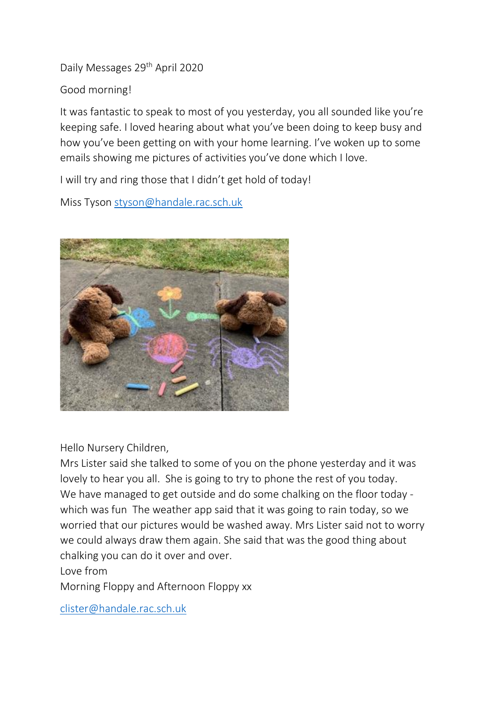Daily Messages 29th April 2020

Good morning!

It was fantastic to speak to most of you yesterday, you all sounded like you're keeping safe. I loved hearing about what you've been doing to keep busy and how you've been getting on with your home learning. I've woken up to some emails showing me pictures of activities you've done which I love.

I will try and ring those that I didn't get hold of today!

Miss Tyson [styson@handale.rac.sch.uk](mailto:styson@handale.rac.sch.uk)



Hello Nursery Children,

Mrs Lister said she talked to some of you on the phone yesterday and it was lovely to hear you all. She is going to try to phone the rest of you today. We have managed to get outside and do some chalking on the floor today which was fun The weather app said that it was going to rain today, so we worried that our pictures would be washed away. Mrs Lister said not to worry we could always draw them again. She said that was the good thing about chalking you can do it over and over.

Love from

Morning Floppy and Afternoon Floppy xx

[clister@handale.rac.sch.uk](mailto:clister@handale.rac.sch.uk)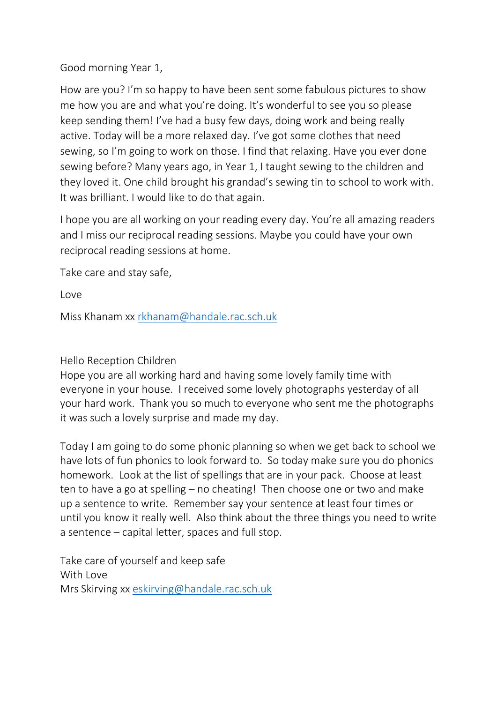Good morning Year 1,

How are you? I'm so happy to have been sent some fabulous pictures to show me how you are and what you're doing. It's wonderful to see you so please keep sending them! I've had a busy few days, doing work and being really active. Today will be a more relaxed day. I've got some clothes that need sewing, so I'm going to work on those. I find that relaxing. Have you ever done sewing before? Many years ago, in Year 1, I taught sewing to the children and they loved it. One child brought his grandad's sewing tin to school to work with. It was brilliant. I would like to do that again.

I hope you are all working on your reading every day. You're all amazing readers and I miss our reciprocal reading sessions. Maybe you could have your own reciprocal reading sessions at home.

Take care and stay safe,

Love

Miss Khanam xx [rkhanam@handale.rac.sch.uk](mailto:rkhanam@handale.rac.sch.uk)

## Hello Reception Children

Hope you are all working hard and having some lovely family time with everyone in your house. I received some lovely photographs yesterday of all your hard work. Thank you so much to everyone who sent me the photographs it was such a lovely surprise and made my day.

Today I am going to do some phonic planning so when we get back to school we have lots of fun phonics to look forward to. So today make sure you do phonics homework. Look at the list of spellings that are in your pack. Choose at least ten to have a go at spelling – no cheating! Then choose one or two and make up a sentence to write. Remember say your sentence at least four times or until you know it really well. Also think about the three things you need to write a sentence – capital letter, spaces and full stop.

Take care of yourself and keep safe With Love Mrs Skirving xx [eskirving@handale.rac.sch.uk](mailto:eskirving@handale.rac.sch.uk)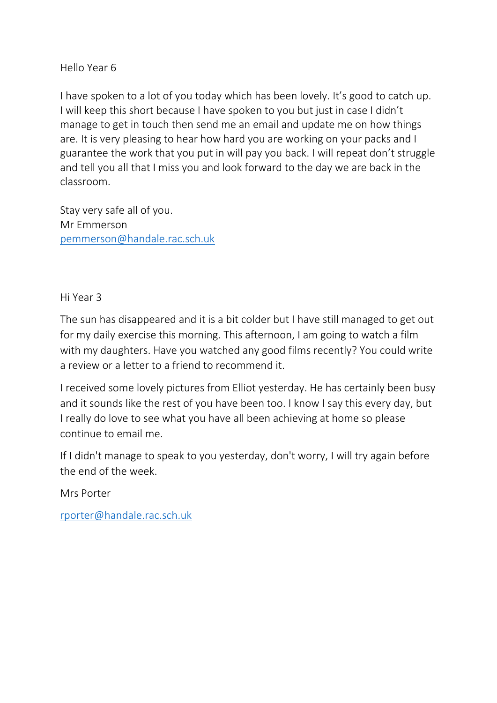Hello Year 6

I have spoken to a lot of you today which has been lovely. It's good to catch up. I will keep this short because I have spoken to you but just in case I didn't manage to get in touch then send me an email and update me on how things are. It is very pleasing to hear how hard you are working on your packs and I guarantee the work that you put in will pay you back. I will repeat don't struggle and tell you all that I miss you and look forward to the day we are back in the classroom.

Stay very safe all of you. Mr Emmerson [pemmerson@handale.rac.sch.uk](mailto:pemmerson@handale.rac.sch.uk)

Hi Year 3

The sun has disappeared and it is a bit colder but I have still managed to get out for my daily exercise this morning. This afternoon, I am going to watch a film with my daughters. Have you watched any good films recently? You could write a review or a letter to a friend to recommend it.

I received some lovely pictures from Elliot yesterday. He has certainly been busy and it sounds like the rest of you have been too. I know I say this every day, but I really do love to see what you have all been achieving at home so please continue to email me.

If I didn't manage to speak to you yesterday, don't worry, I will try again before the end of the week.

Mrs Porter

[rporter@handale.rac.sch.uk](mailto:rporter@handale.rac.sch.uk)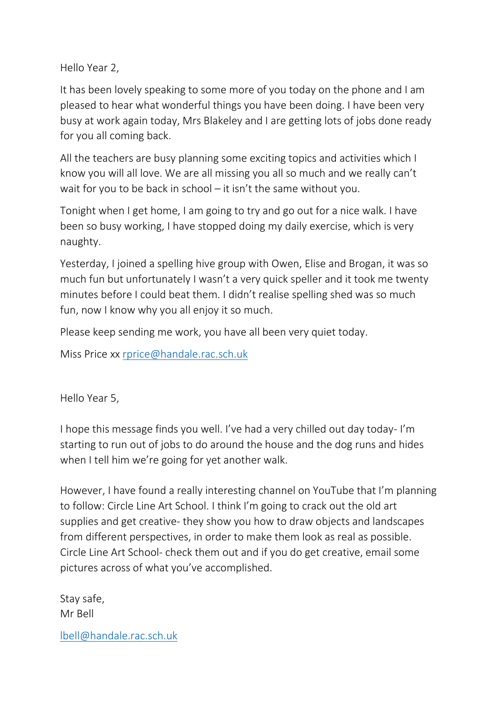Hello Year 2,

It has been lovely speaking to some more of you today on the phone and I am pleased to hear what wonderful things you have been doing. I have been very busy at work again today, Mrs Blakeley and I are getting lots of jobs done ready for you all coming back.

All the teachers are busy planning some exciting topics and activities which I know you will all love. We are all missing you all so much and we really can't wait for you to be back in school – it isn't the same without you.

Tonight when I get home, I am going to try and go out for a nice walk. I have been so busy working, I have stopped doing my daily exercise, which is very naughty.

Yesterday, I joined a spelling hive group with Owen, Elise and Brogan, it was so much fun but unfortunately I wasn't a very quick speller and it took me twenty minutes before I could beat them. I didn't realise spelling shed was so much fun, now I know why you all enjoy it so much.

Please keep sending me work, you have all been very quiet today.

Miss Price xx [rprice@handale.rac.sch.uk](mailto:rprice@handale.rac.sch.uk)

Hello Year 5,

I hope this message finds you well. I've had a very chilled out day today- I'm starting to run out of jobs to do around the house and the dog runs and hides when I tell him we're going for yet another walk.

However, I have found a really interesting channel on YouTube that I'm planning to follow: Circle Line Art School. I think I'm going to crack out the old art supplies and get creative- they show you how to draw objects and landscapes from different perspectives, in order to make them look as real as possible. Circle Line Art School- check them out and if you do get creative, email some pictures across of what you've accomplished.

Stay safe, Mr Bell

[lbell@handale.rac.sch.uk](mailto:lbell@handale.rac.sch.uk)